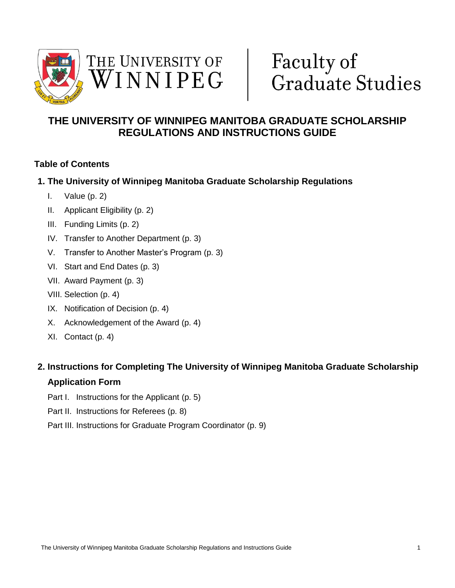



# Faculty of Graduate Studies

# **THE UNIVERSITY OF WINNIPEG MANITOBA GRADUATE SCHOLARSHIP REGULATIONS AND INSTRUCTIONS GUIDE**

# **Table of Contents**

# **1. The University of Winnipeg Manitoba Graduate Scholarship Regulations**

- I. Value (p. 2)
- II. Applicant Eligibility (p. 2)
- III. Funding Limits (p. 2)
- IV. Transfer to Another Department (p. 3)
- V. Transfer to Another Master's Program (p. 3)
- VI. Start and End Dates (p. 3)
- VII. Award Payment (p. 3)
- VIII. Selection (p. 4)
- IX. Notification of Decision (p. 4)
- X. Acknowledgement of the Award (p. 4)
- XI. Contact (p. 4)

# **2. Instructions for Completing The University of Winnipeg Manitoba Graduate Scholarship**

# **Application Form**

- Part I. Instructions for the Applicant (p. 5)
- Part II. Instructions for Referees (p. 8)
- Part III. Instructions for Graduate Program Coordinator (p. 9)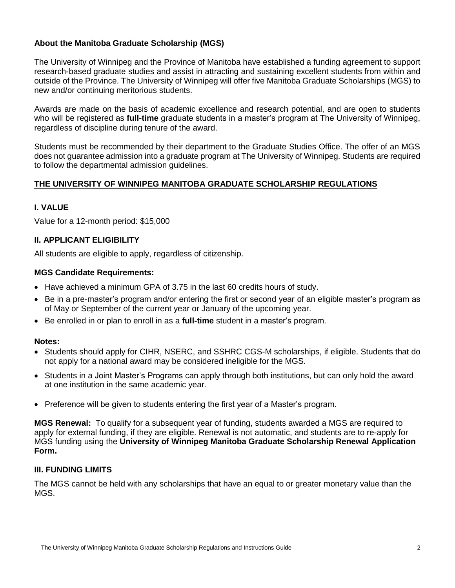# **About the Manitoba Graduate Scholarship (MGS)**

The University of Winnipeg and the Province of Manitoba have established a funding agreement to support research-based graduate studies and assist in attracting and sustaining excellent students from within and outside of the Province. The University of Winnipeg will offer five Manitoba Graduate Scholarships (MGS) to new and/or continuing meritorious students.

Awards are made on the basis of academic excellence and research potential, and are open to students who will be registered as **full-time** graduate students in a master's program at The University of Winnipeg, regardless of discipline during tenure of the award.

Students must be recommended by their department to the Graduate Studies Office. The offer of an MGS does not guarantee admission into a graduate program at The University of Winnipeg. Students are required to follow the departmental admission guidelines.

#### **THE UNIVERSITY OF WINNIPEG MANITOBA GRADUATE SCHOLARSHIP REGULATIONS**

# **I. VALUE**

Value for a 12-month period: \$15,000

#### **II. APPLICANT ELIGIBILITY**

All students are eligible to apply, regardless of citizenship.

#### **MGS Candidate Requirements:**

- Have achieved a minimum GPA of 3.75 in the last 60 credits hours of study.
- Be in a pre-master's program and/or entering the first or second year of an eligible master's program as of May or September of the current year or January of the upcoming year.
- Be enrolled in or plan to enroll in as a **full-time** student in a master's program.

#### **Notes:**

- Students should apply for CIHR, NSERC, and SSHRC CGS-M scholarships, if eligible. Students that do not apply for a national award may be considered ineligible for the MGS.
- Students in a Joint Master's Programs can apply through both institutions, but can only hold the award at one institution in the same academic year.
- Preference will be given to students entering the first year of a Master's program.

**MGS Renewal:** To qualify for a subsequent year of funding, students awarded a MGS are required to apply for external funding, if they are eligible. Renewal is not automatic, and students are to re-apply for MGS funding using the **University of Winnipeg Manitoba Graduate Scholarship Renewal Application Form.**

# **III. FUNDING LIMITS**

The MGS cannot be held with any scholarships that have an equal to or greater monetary value than the MGS.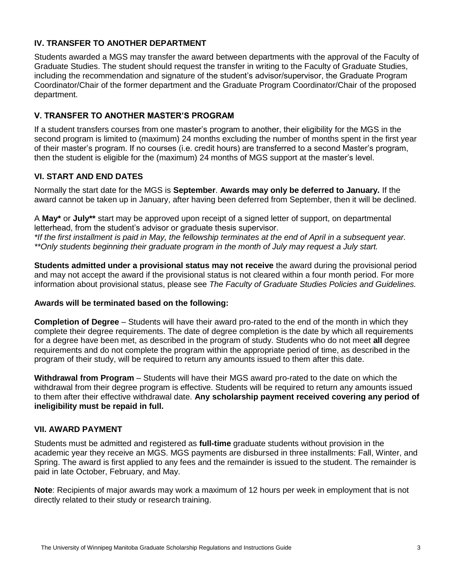# **IV. TRANSFER TO ANOTHER DEPARTMENT**

Students awarded a MGS may transfer the award between departments with the approval of the Faculty of Graduate Studies. The student should request the transfer in writing to the Faculty of Graduate Studies, including the recommendation and signature of the student's advisor/supervisor, the Graduate Program Coordinator/Chair of the former department and the Graduate Program Coordinator/Chair of the proposed department.

# **V. TRANSFER TO ANOTHER MASTER'S PROGRAM**

If a student transfers courses from one master's program to another, their eligibility for the MGS in the second program is limited to (maximum) 24 months excluding the number of months spent in the first year of their master's program. If no courses (i.e. credit hours) are transferred to a second Master's program, then the student is eligible for the (maximum) 24 months of MGS support at the master's level.

# **VI. START AND END DATES**

Normally the start date for the MGS is **September**. **Awards may only be deferred to January.** If the award cannot be taken up in January, after having been deferred from September, then it will be declined.

A **May\*** or **July\*\*** start may be approved upon receipt of a signed letter of support, on departmental letterhead, from the student's advisor or graduate thesis supervisor.

*\*If the first installment is paid in May, the fellowship terminates at the end of April in a subsequent year. \*\*Only students beginning their graduate program in the month of July may request a July start.*

**Students admitted under a provisional status may not receive** the award during the provisional period and may not accept the award if the provisional status is not cleared within a four month period. For more information about provisional status, please see *The Faculty of Graduate Studies Policies and Guidelines.* 

# **Awards will be terminated based on the following:**

**Completion of Degree** – Students will have their award pro-rated to the end of the month in which they complete their degree requirements. The date of degree completion is the date by which all requirements for a degree have been met, as described in the program of study. Students who do not meet **all** degree requirements and do not complete the program within the appropriate period of time, as described in the program of their study, will be required to return any amounts issued to them after this date.

**Withdrawal from Program** – Students will have their MGS award pro-rated to the date on which the withdrawal from their degree program is effective. Students will be required to return any amounts issued to them after their effective withdrawal date. **Any scholarship payment received covering any period of ineligibility must be repaid in full.** 

# **VII. AWARD PAYMENT**

Students must be admitted and registered as **full-time** graduate students without provision in the academic year they receive an MGS. MGS payments are disbursed in three installments: Fall, Winter, and Spring. The award is first applied to any fees and the remainder is issued to the student. The remainder is paid in late October, February, and May.

**Note**: Recipients of major awards may work a maximum of 12 hours per week in employment that is not directly related to their study or research training.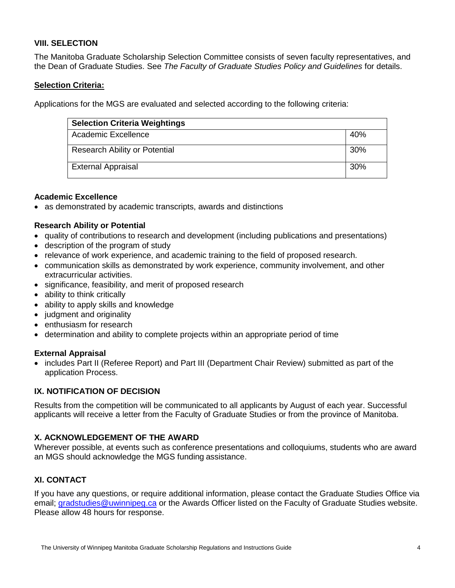# **VIII. SELECTION**

The Manitoba Graduate Scholarship Selection Committee consists of seven faculty representatives, and the Dean of Graduate Studies. See *The Faculty of Graduate Studies Policy and Guidelines* for details.

# **Selection Criteria:**

Applications for the MGS are evaluated and selected according to the following criteria:

| <b>Selection Criteria Weightings</b> |     |
|--------------------------------------|-----|
| Academic Excellence                  | 40% |
| <b>Research Ability or Potential</b> | 30% |
| <b>External Appraisal</b>            | 30% |

#### **Academic Excellence**

as demonstrated by academic transcripts, awards and distinctions

#### **Research Ability or Potential**

- quality of contributions to research and development (including publications and presentations)
- description of the program of study
- relevance of work experience, and academic training to the field of proposed research.
- communication skills as demonstrated by work experience, community involvement, and other extracurricular activities.
- significance, feasibility, and merit of proposed research
- ability to think critically
- ability to apply skills and knowledge
- judgment and originality
- enthusiasm for research
- determination and ability to complete projects within an appropriate period of time

#### **External Appraisal**

• includes Part II (Referee Report) and Part III (Department Chair Review) submitted as part of the application Process.

# **IX. NOTIFICATION OF DECISION**

Results from the competition will be communicated to all applicants by August of each year. Successful applicants will receive a letter from the Faculty of Graduate Studies or from the province of Manitoba.

# **X. ACKNOWLEDGEMENT OF THE AWARD**

Wherever possible, at events such as conference presentations and colloquiums, students who are award an MGS should acknowledge the MGS funding assistance.

# **XI. CONTACT**

If you have any questions, or require additional information, please contact the Graduate Studies Office via email; [gradstudies@uwinnipeg.ca](mailto:gradstudies@uwinnipeg.ca) or the Awards Officer listed on the Faculty of Graduate Studies website. Please allow 48 hours for response.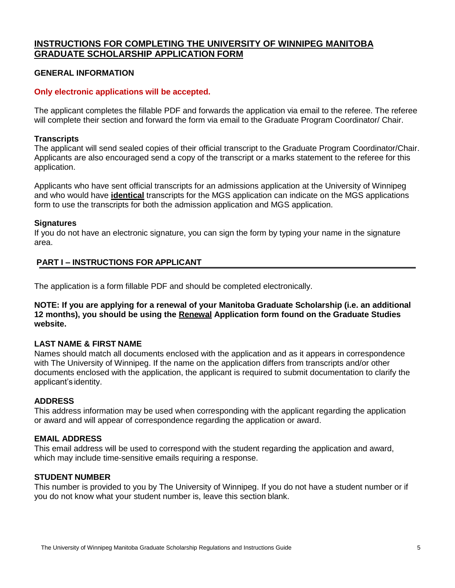# **INSTRUCTIONS FOR COMPLETING THE UNIVERSITY OF WINNIPEG MANITOBA GRADUATE SCHOLARSHIP APPLICATION FORM**

#### **GENERAL INFORMATION**

#### **Only electronic applications will be accepted.**

The applicant completes the fillable PDF and forwards the application via email to the referee. The referee will complete their section and forward the form via email to the Graduate Program Coordinator/ Chair.

#### **Transcripts**

The applicant will send sealed copies of their official transcript to the Graduate Program Coordinator/Chair. Applicants are also encouraged send a copy of the transcript or a marks statement to the referee for this application.

Applicants who have sent official transcripts for an admissions application at the University of Winnipeg and who would have **identical** transcripts for the MGS application can indicate on the MGS applications form to use the transcripts for both the admission application and MGS application.

#### **Signatures**

If you do not have an electronic signature, you can sign the form by typing your name in the signature area.

#### **PART I – INSTRUCTIONS FOR APPLICANT**

The application is a form fillable PDF and should be completed electronically.

**NOTE: If you are applying for a renewal of your Manitoba Graduate Scholarship (i.e. an additional 12 months), you should be using the Renewal Application form found on the Graduate Studies website.**

#### **LAST NAME & FIRST NAME**

Names should match all documents enclosed with the application and as it appears in correspondence with The University of Winnipeg. If the name on the application differs from transcripts and/or other documents enclosed with the application, the applicant is required to submit documentation to clarify the applicant's identity.

#### **ADDRESS**

This address information may be used when corresponding with the applicant regarding the application or award and will appear of correspondence regarding the application or award.

#### **EMAIL ADDRESS**

This email address will be used to correspond with the student regarding the application and award, which may include time-sensitive emails requiring a response.

#### **STUDENT NUMBER**

This number is provided to you by The University of Winnipeg. If you do not have a student number or if you do not know what your student number is, leave this section blank.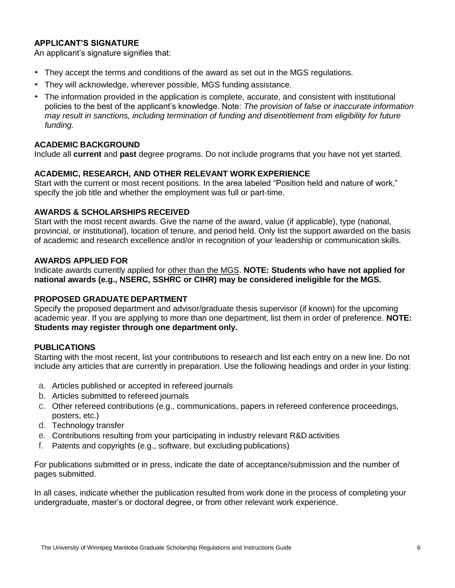# **APPLICANT'S SIGNATURE**

An applicant's signature signifies that:

- They accept the terms and conditions of the award as set out in the MGS regulations.
- They will acknowledge, wherever possible, MGS funding assistance.
- The information provided in the application is complete, accurate, and consistent with institutional policies to the best of the applicant's knowledge. Note: *The provision of false or inaccurate information may result in sanctions, including termination of funding and disentitlement from eligibility for future funding.*

#### **ACADEMIC BACKGROUND**

Include all **current** and **past** degree programs. Do not include programs that you have not yet started.

#### **ACADEMIC, RESEARCH, AND OTHER RELEVANT WORK EXPERIENCE**

Start with the current or most recent positions. In the area labeled "Position held and nature of work," specify the job title and whether the employment was full or part-time.

#### **AWARDS & SCHOLARSHIPS RECEIVED**

Start with the most recent awards. Give the name of the award, value (if applicable), type (national, provincial, or institutional), location of tenure, and period held. Only list the support awarded on the basis of academic and research excellence and/or in recognition of your leadership or communication skills.

#### **AWARDS APPLIED FOR**

Indicate awards currently applied for other than the MGS. **NOTE: Students who have not applied for national awards (e.g., NSERC, SSHRC or CIHR) may be considered ineligible for the MGS.**

# **PROPOSED GRADUATE DEPARTMENT**

Specify the proposed department and advisor/graduate thesis supervisor (if known) for the upcoming academic year. If you are applying to more than one department, list them in order of preference. **NOTE: Students may register through one department only.**

# **PUBLICATIONS**

Starting with the most recent, list your contributions to research and list each entry on a new line. Do not include any articles that are currently in preparation. Use the following headings and order in your listing:

- a. Articles published or accepted in refereed journals
- b. Articles submitted to refereed journals
- c. Other refereed contributions (e.g., communications, papers in refereed conference proceedings, posters, etc.)
- d. Technology transfer
- e. Contributions resulting from your participating in industry relevant R&D activities
- f. Patents and copyrights (e.g., software, but excluding publications)

For publications submitted or in press, indicate the date of acceptance/submission and the number of pages submitted.

In all cases, indicate whether the publication resulted from work done in the process of completing your undergraduate, master's or doctoral degree, or from other relevant work experience.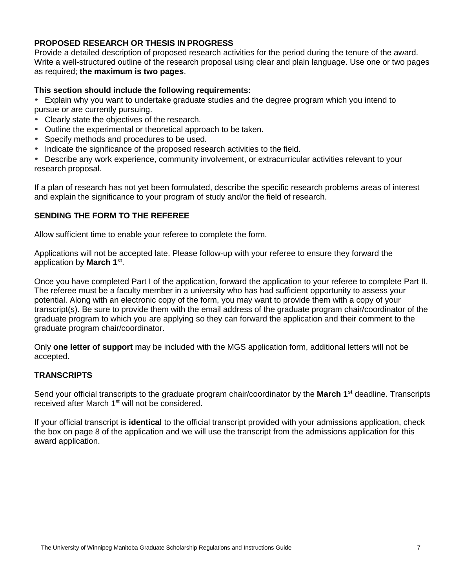# **PROPOSED RESEARCH OR THESIS IN PROGRESS**

Provide a detailed description of proposed research activities for the period during the tenure of the award. Write a well-structured outline of the research proposal using clear and plain language. Use one or two pages as required; **the maximum is two pages**.

# **This section should include the following requirements:**

• Explain why you want to undertake graduate studies and the degree program which you intend to pursue or are currently pursuing.

- Clearly state the objectives of the research.
- Outline the experimental or theoretical approach to be taken.
- Specify methods and procedures to be used.
- Indicate the significance of the proposed research activities to the field.

• Describe any work experience, community involvement, or extracurricular activities relevant to your research proposal.

If a plan of research has not yet been formulated, describe the specific research problems areas of interest and explain the significance to your program of study and/or the field of research.

# **SENDING THE FORM TO THE REFEREE**

Allow sufficient time to enable your referee to complete the form.

Applications will not be accepted late. Please follow-up with your referee to ensure they forward the application by **March 1st** .

Once you have completed Part I of the application, forward the application to your referee to complete Part II. The referee must be a faculty member in a university who has had sufficient opportunity to assess your potential. Along with an electronic copy of the form, you may want to provide them with a copy of your transcript(s). Be sure to provide them with the email address of the graduate program chair/coordinator of the graduate program to which you are applying so they can forward the application and their comment to the graduate program chair/coordinator.

Only **one letter of support** may be included with the MGS application form, additional letters will not be accepted.

# **TRANSCRIPTS**

Send your official transcripts to the graduate program chair/coordinator by the **March 1st** deadline. Transcripts received after March 1<sup>st</sup> will not be considered.

If your official transcript is **identical** to the official transcript provided with your admissions application, check the box on page 8 of the application and we will use the transcript from the admissions application for this award application.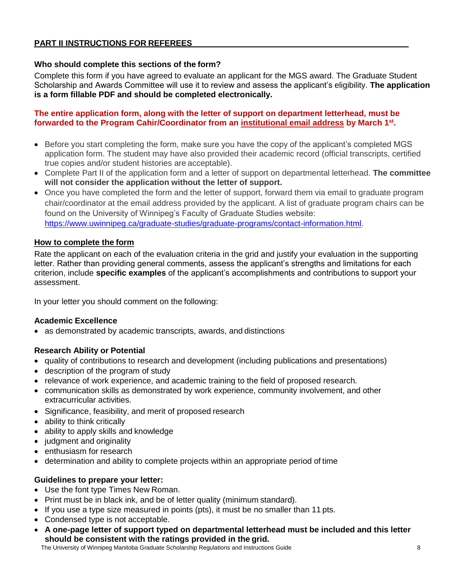# **PART II INSTRUCTIONS FOR REFEREES**

#### **Who should complete this sections of the form?**

Complete this form if you have agreed to evaluate an applicant for the MGS award. The Graduate Student Scholarship and Awards Committee will use it to review and assess the applicant's eligibility. **The application is a form fillable PDF and should be completed electronically.** 

#### **The entire application form, along with the letter of support on department letterhead, must be forwarded to the Program Cahir/Coordinator from an institutional email address by March 1st .**

- Before you start completing the form, make sure you have the copy of the applicant's completed MGS application form. The student may have also provided their academic record (official transcripts, certified true copies and/or student histories are acceptable).
- Complete Part II of the application form and a letter of support on departmental letterhead. **The committee will not consider the application without the letter of support.**
- Once you have completed the form and the letter of support, forward them via email to graduate program chair/coordinator at the email address provided by the applicant. A list of graduate program chairs can be found on the University of Winnipeg's Faculty of Graduate Studies website: [https://www.uwinnipeg.ca/graduate-studies/graduate-programs/contact-information.html.](https://www.uwinnipeg.ca/graduate-studies/graduate-programs/contact-information.html)

# **How to complete the form**

Rate the applicant on each of the evaluation criteria in the grid and justify your evaluation in the supporting letter. Rather than providing general comments, assess the applicant's strengths and limitations for each criterion, include **specific examples** of the applicant's accomplishments and contributions to support your assessment.

In your letter you should comment on the following:

#### **Academic Excellence**

as demonstrated by academic transcripts, awards, and distinctions

# **Research Ability or Potential**

- quality of contributions to research and development (including publications and presentations)
- description of the program of study
- relevance of work experience, and academic training to the field of proposed research.
- communication skills as demonstrated by work experience, community involvement, and other extracurricular activities.
- Significance, feasibility, and merit of proposed research
- ability to think critically
- ability to apply skills and knowledge
- judgment and originality
- enthusiasm for research
- determination and ability to complete projects within an appropriate period of time

# **Guidelines to prepare your letter:**

- Use the font type Times New Roman.
- Print must be in black ink, and be of letter quality (minimum standard).
- If you use a type size measured in points (pts), it must be no smaller than 11 pts.
- Condensed type is not acceptable.
- **A one-page letter of support typed on departmental letterhead must be included and this letter should be consistent with the ratings provided in the grid.**

The University of Winnipeg Manitoba Graduate Scholarship Regulations and Instructions Guide 8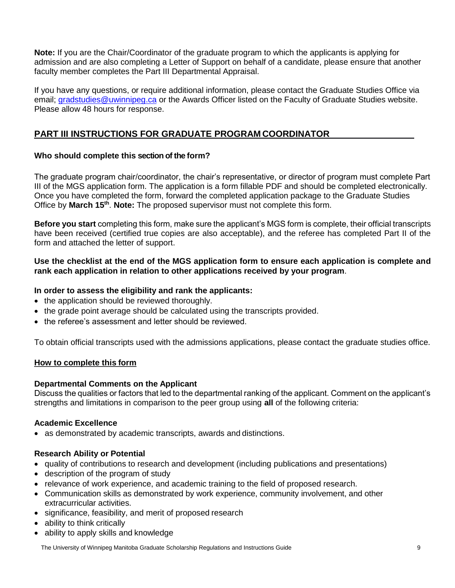**Note:** If you are the Chair/Coordinator of the graduate program to which the applicants is applying for admission and are also completing a Letter of Support on behalf of a candidate, please ensure that another faculty member completes the Part III Departmental Appraisal.

If you have any questions, or require additional information, please contact the Graduate Studies Office via email; [gradstudies@uwinnipeg.ca](mailto:gradstudies@uwinnipeg.ca) or the Awards Officer listed on the Faculty of Graduate Studies website. Please allow 48 hours for response.

# **PART III INSTRUCTIONS FOR GRADUATE PROGRAM COORDINATOR**

# **Who should complete this section of the form?**

The graduate program chair/coordinator, the chair's representative, or director of program must complete Part III of the MGS application form. The application is a form fillable PDF and should be completed electronically. Once you have completed the form, forward the completed application package to the Graduate Studies Office by **March 15th** . **Note:** The proposed supervisor must not complete this form.

**Before you start** completing this form, make sure the applicant's MGS form is complete, their official transcripts have been received (certified true copies are also acceptable), and the referee has completed Part II of the form and attached the letter of support.

#### **Use the checklist at the end of the MGS application form to ensure each application is complete and rank each application in relation to other applications received by your program**.

# **In order to assess the eligibility and rank the applicants:**

- the application should be reviewed thoroughly.
- the grade point average should be calculated using the transcripts provided.
- the referee's assessment and letter should be reviewed.

To obtain official transcripts used with the admissions applications, please contact the graduate studies office.

# **How to complete this form**

# **Departmental Comments on the Applicant**

Discuss the qualities or factors that led to the departmental ranking of the applicant. Comment on the applicant's strengths and limitations in comparison to the peer group using **all** of the following criteria:

# **Academic Excellence**

as demonstrated by academic transcripts, awards and distinctions.

# **Research Ability or Potential**

- quality of contributions to research and development (including publications and presentations)
- description of the program of study
- relevance of work experience, and academic training to the field of proposed research.
- Communication skills as demonstrated by work experience, community involvement, and other extracurricular activities.
- significance, feasibility, and merit of proposed research
- ability to think critically
- ability to apply skills and knowledge

The University of Winnipeg Manitoba Graduate Scholarship Regulations and Instructions Guide 9